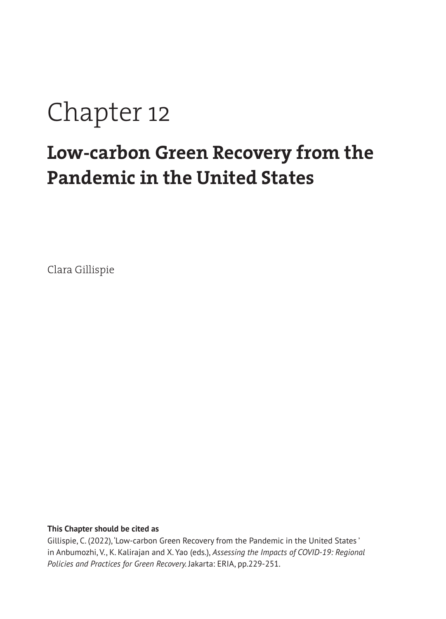# Chapter 12

# **Low-carbon Green Recovery from the Pandemic in the United States**

Clara Gillispie

**This Chapter should be cited as** 

Gillispie, C. (2022), 'Low-carbon Green Recovery from the Pandemic in the United States ' in Anbumozhi, V., K. Kalirajan and X. Yao (eds.), *Assessing the Impacts of COVID-19: Regional Policies and Practices for Green Recovery.* Jakarta: ERIA, pp.229-251.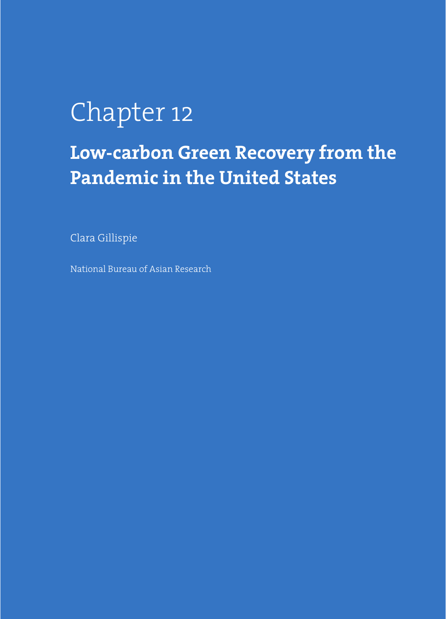# Chapter 12

# **Low-carbon Green Recovery from the Pandemic in the United States**

Clara Gillispie

National Bureau of Asian Research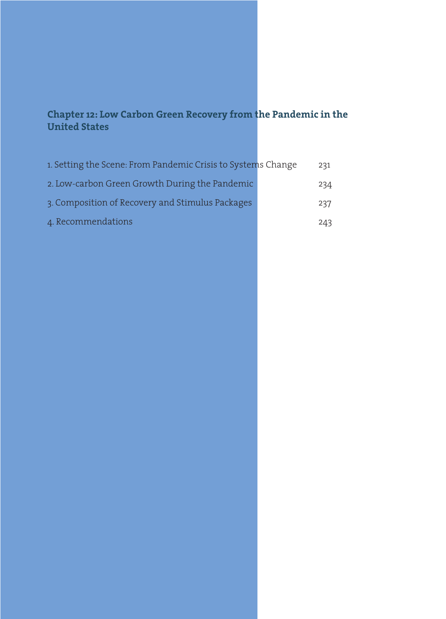## **Chapter 12: Low Carbon Green Recovery from the Pandemic in the United States**

| 1. Setting the Scene: From Pandemic Crisis to Systems Change | 231 |
|--------------------------------------------------------------|-----|
| 2. Low-carbon Green Growth During the Pandemic               | 234 |
| 3. Composition of Recovery and Stimulus Packages             | 237 |
| 4. Recommendations                                           | 243 |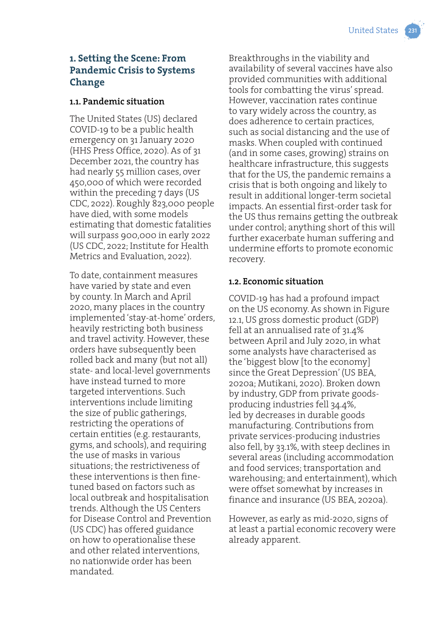# **1. Setting the Scene: From Pandemic Crisis to Systems Change**

#### **1.1. Pandemic situation**

The United States (US) declared COVID-19 to be a public health emergency on 31 January 2020 (HHS Press Office, 2020). As of 31 December 2021, the country has had nearly 55 million cases, over 450,000 of which were recorded within the preceding 7 days (US CDC, 2022). Roughly 823,000 people have died, with some models estimating that domestic fatalities will surpass 900,000 in early 2022 (US CDC, 2022; Institute for Health Metrics and Evaluation, 2022).

To date, containment measures have varied by state and even by county. In March and April 2020, many places in the country implemented 'stay-at-home' orders, heavily restricting both business and travel activity. However, these orders have subsequently been rolled back and many (but not all) state- and local-level governments have instead turned to more targeted interventions. Such interventions include limiting the size of public gatherings, restricting the operations of certain entities (e.g. restaurants, gyms, and schools), and requiring the use of masks in various situations; the restrictiveness of these interventions is then finetuned based on factors such as local outbreak and hospitalisation trends. Although the US Centers for Disease Control and Prevention (US CDC) has offered guidance on how to operationalise these and other related interventions, no nationwide order has been mandated.

Breakthroughs in the viability and availability of several vaccines have also provided communities with additional tools for combatting the virus' spread. However, vaccination rates continue to vary widely across the country, as does adherence to certain practices, such as social distancing and the use of masks. When coupled with continued (and in some cases, growing) strains on healthcare infrastructure, this suggests that for the US, the pandemic remains a crisis that is both ongoing and likely to result in additional longer-term societal impacts. An essential first-order task for the US thus remains getting the outbreak under control; anything short of this will further exacerbate human suffering and undermine efforts to promote economic recovery.

#### **1.2. Economic situation**

COVID-19 has had a profound impact on the US economy. As shown in Figure 12.1, US gross domestic product (GDP) fell at an annualised rate of 31.4% between April and July 2020, in what some analysts have characterised as the 'biggest blow [to the economy] since the Great Depression' (US BEA, 2020a; Mutikani, 2020). Broken down by industry, GDP from private goodsproducing industries fell 34.4%, led by decreases in durable goods manufacturing. Contributions from private services-producing industries also fell, by 33.1%, with steep declines in several areas (including accommodation and food services; transportation and warehousing; and entertainment), which were offset somewhat by increases in finance and insurance (US BEA, 2020a).

However, as early as mid-2020, signs of at least a partial economic recovery were already apparent.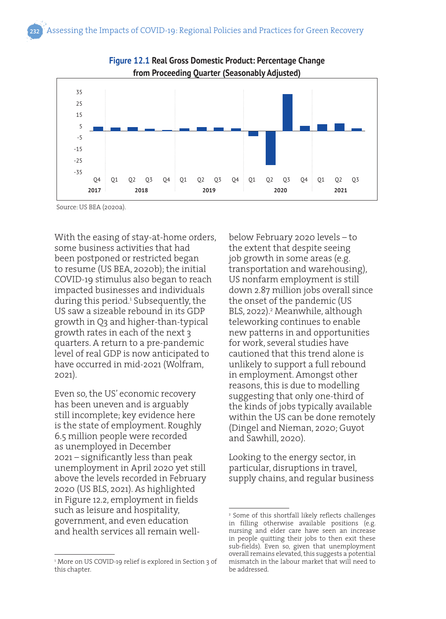



Source: US BEA (2020a).

With the easing of stay-at-home orders, some business activities that had been postponed or restricted began to resume (US BEA, 2020b); the initial COVID-19 stimulus also began to reach impacted businesses and individuals during this period.<sup>1</sup> Subsequently, the US saw a sizeable rebound in its GDP growth in Q3 and higher-than-typical growth rates in each of the next 3 quarters. A return to a pre-pandemic level of real GDP is now anticipated to have occurred in mid-2021 (Wolfram, 2021).

Even so, the US' economic recovery has been uneven and is arguably still incomplete; key evidence here is the state of employment. Roughly 6.5 million people were recorded as unemployed in December 2021 – significantly less than peak unemployment in April 2020 yet still above the levels recorded in February 2020 (US BLS, 2021). As highlighted in Figure 12.2, employment in fields such as leisure and hospitality, government, and even education and health services all remain well-

1 More on US COVID-19 relief is explored in Section 3 of this chapter.

below February 2020 levels – to the extent that despite seeing job growth in some areas (e.g. transportation and warehousing), US nonfarm employment is still down 2.87 million jobs overall since the onset of the pandemic (US BLS, 2022).<sup>2</sup> Meanwhile, although teleworking continues to enable new patterns in and opportunities for work, several studies have cautioned that this trend alone is unlikely to support a full rebound in employment. Amongst other reasons, this is due to modelling suggesting that only one-third of the kinds of jobs typically available within the US can be done remotely (Dingel and Nieman, 2020; Guyot and Sawhill, 2020).

Looking to the energy sector, in particular, disruptions in travel, supply chains, and regular business

<sup>2</sup> Some of this shortfall likely reflects challenges in filling otherwise available positions (e.g. nursing and elder care have seen an increase in people quitting their jobs to then exit these sub-fields). Even so, given that unemployment overall remains elevated, this suggests a potential mismatch in the labour market that will need to be addressed.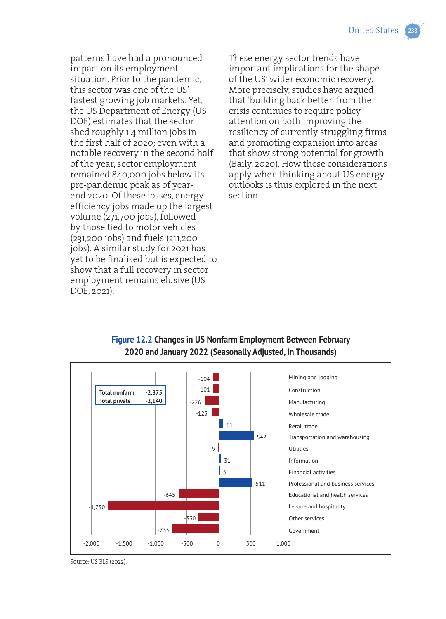patterns have had a pronounced impact on its employment situation. Prior to the pandemic, this sector was one of the US' fastest growing job markets. Yet, the US Department of Energy (US DOE) estimates that the sector shed roughly 1.4 million jobs in the first half of 2020; even with a notable recovery in the second half of the year, sector employment remained 840,000 jobs below its pre-pandemic peak as of yearend 2020. Of these losses, energy efficiency jobs made up the largest volume (271,700 jobs), followed by those tied to motor vehicles (231,200 jobs) and fuels (211,200 jobs). A similar study for 2021 has yet to be finalised but is expected to show that a full recovery in sector employment remains elusive (US DOE, 2021).

These energy sector trends have important implications for the shape of the US' wider economic recovery. More precisely, studies have argued that 'building back better' from the crisis continues to require policy attention on both improving the resiliency of currently struggling firms and promoting expansion into areas that show strong potential for growth (Baily, 2020). How these considerations apply when thinking about US energy outlooks is thus explored in the next section.



#### **Figure 12.2 Changes in US Nonfarm Employment Between February 2020 and January 2022 (Seasonally Adjusted, in Thousands)**

Source: US BLS (2022).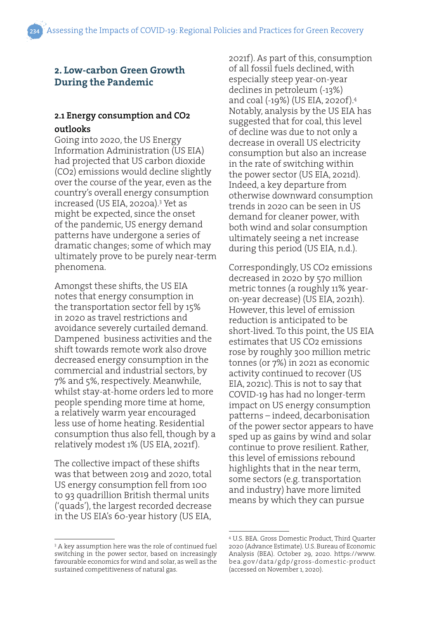#### **2. Low-carbon Green Growth During the Pandemic**

#### **2.1 Energy consumption and CO2 outlooks**

Going into 2020, the US Energy Information Administration (US EIA) had projected that US carbon dioxide (CO2) emissions would decline slightly over the course of the year, even as the country's overall energy consumption increased (US EIA, 2020a).3 Yet as might be expected, since the onset of the pandemic, US energy demand patterns have undergone a series of dramatic changes; some of which may ultimately prove to be purely near-term phenomena.

Amongst these shifts, the US EIA notes that energy consumption in the transportation sector fell by 15% in 2020 as travel restrictions and avoidance severely curtailed demand. Dampened business activities and the shift towards remote work also drove decreased energy consumption in the commercial and industrial sectors, by 7% and 5%, respectively. Meanwhile, whilst stay-at-home orders led to more people spending more time at home, a relatively warm year encouraged less use of home heating. Residential consumption thus also fell, though by a relatively modest 1% (US EIA, 2021f).

The collective impact of these shifts was that between 2019 and 2020, total US energy consumption fell from 100 to 93 quadrillion British thermal units ('quads'), the largest recorded decrease in the US EIA's 60-year history (US EIA,

2021f). As part of this, consumption of all fossil fuels declined, with especially steep year-on-year declines in petroleum (-13%) and coal (-19%) (US EIA, 2020f).4 Notably, analysis by the US EIA has suggested that for coal, this level of decline was due to not only a decrease in overall US electricity consumption but also an increase in the rate of switching within the power sector (US EIA, 2021d). Indeed, a key departure from otherwise downward consumption trends in 2020 can be seen in US demand for cleaner power, with both wind and solar consumption ultimately seeing a net increase during this period (US EIA, n.d.).

Correspondingly, US CO2 emissions decreased in 2020 by 570 million metric tonnes (a roughly 11% yearon-year decrease) (US EIA, 2021h). However, this level of emission reduction is anticipated to be short-lived. To this point, the US EIA estimates that US CO2 emissions rose by roughly 300 million metric tonnes (or 7%) in 2021 as economic activity continued to recover (US EIA, 2021c). This is not to say that COVID-19 has had no longer-term impact on US energy consumption patterns – indeed, decarbonisation of the power sector appears to have sped up as gains by wind and solar continue to prove resilient. Rather, this level of emissions rebound highlights that in the near term, some sectors (e.g. transportation and industry) have more limited means by which they can pursue

<sup>3</sup> A key assumption here was the role of continued fuel switching in the power sector, based on increasingly favourable economics for wind and solar, as well as the sustained competitiveness of natural gas.

<sup>4</sup> U.S. BEA. Gross Domestic Product, Third Quarter 2020 (Advance Estimate). U.S. Bureau of Economic Analysis (BEA). October 29, 2020. https://www. bea.gov/data/gdp/gross-domestic-product (accessed on November 1, 2020).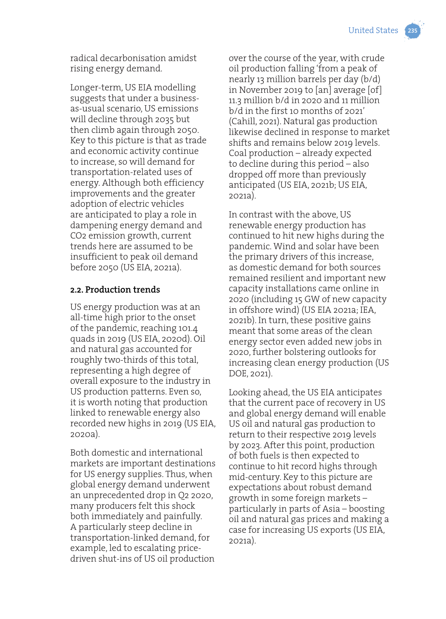radical decarbonisation amidst rising energy demand.

Longer-term, US EIA modelling suggests that under a businessas-usual scenario, US emissions will decline through 2035 but then climb again through 2050. Key to this picture is that as trade and economic activity continue to increase, so will demand for transportation-related uses of energy. Although both efficiency improvements and the greater adoption of electric vehicles are anticipated to play a role in dampening energy demand and CO2 emission growth, current trends here are assumed to be insufficient to peak oil demand before 2050 (US EIA, 2021a).

#### **2.2. Production trends**

US energy production was at an all-time high prior to the onset of the pandemic, reaching 101.4 quads in 2019 (US EIA, 2020d). Oil and natural gas accounted for roughly two-thirds of this total, representing a high degree of overall exposure to the industry in US production patterns. Even so, it is worth noting that production linked to renewable energy also recorded new highs in 2019 (US EIA, 2020a).

Both domestic and international markets are important destinations for US energy supplies. Thus, when global energy demand underwent an unprecedented drop in Q2 2020, many producers felt this shock both immediately and painfully. A particularly steep decline in transportation-linked demand, for example, led to escalating pricedriven shut-ins of US oil production

over the course of the year, with crude oil production falling 'from a peak of nearly 13 million barrels per day (b/d) in November 2019 to [an] average [of] 11.3 million b/d in 2020 and 11 million b/d in the first 10 months of 2021' (Cahill, 2021). Natural gas production likewise declined in response to market shifts and remains below 2019 levels. Coal production – already expected to decline during this period – also dropped off more than previously anticipated (US EIA, 2021b; US EIA, 2021a).

In contrast with the above, US renewable energy production has continued to hit new highs during the pandemic. Wind and solar have been the primary drivers of this increase, as domestic demand for both sources remained resilient and important new capacity installations came online in 2020 (including 15 GW of new capacity in offshore wind) (US EIA 2021a; IEA, 2021b). In turn, these positive gains meant that some areas of the clean energy sector even added new jobs in 2020, further bolstering outlooks for increasing clean energy production (US DOE, 2021).

Looking ahead, the US EIA anticipates that the current pace of recovery in US and global energy demand will enable US oil and natural gas production to return to their respective 2019 levels by 2023. After this point, production of both fuels is then expected to continue to hit record highs through mid-century. Key to this picture are expectations about robust demand growth in some foreign markets – particularly in parts of Asia – boosting oil and natural gas prices and making a case for increasing US exports (US EIA, 2021a).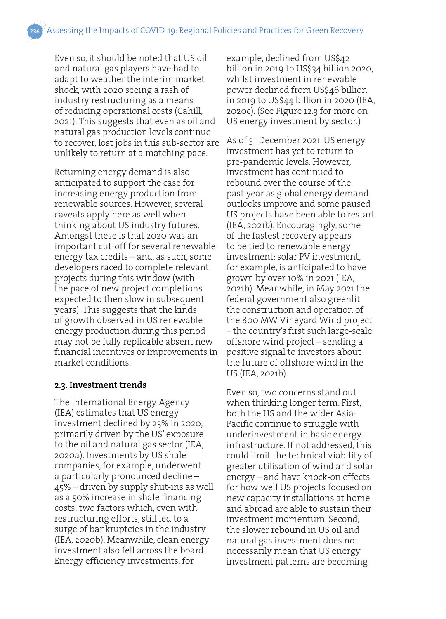Even so, it should be noted that US oil and natural gas players have had to adapt to weather the interim market shock, with 2020 seeing a rash of industry restructuring as a means of reducing operational costs (Cahill, 2021). This suggests that even as oil and natural gas production levels continue to recover, lost jobs in this sub-sector are unlikely to return at a matching pace.

Returning energy demand is also anticipated to support the case for increasing energy production from renewable sources. However, several caveats apply here as well when thinking about US industry futures. Amongst these is that 2020 was an important cut-off for several renewable energy tax credits – and, as such, some developers raced to complete relevant projects during this window (with the pace of new project completions expected to then slow in subsequent years). This suggests that the kinds of growth observed in US renewable energy production during this period may not be fully replicable absent new financial incentives or improvements in market conditions.

#### **2.3. Investment trends**

The International Energy Agency (IEA) estimates that US energy investment declined by 25% in 2020, primarily driven by the US' exposure to the oil and natural gas sector (IEA, 2020a). Investments by US shale companies, for example, underwent a particularly pronounced decline – 45% – driven by supply shut-ins as well as a 50% increase in shale financing costs; two factors which, even with restructuring efforts, still led to a surge of bankruptcies in the industry (IEA, 2020b). Meanwhile, clean energy investment also fell across the board. Energy efficiency investments, for

example, declined from US\$42 billion in 2019 to US\$34 billion 2020, whilst investment in renewable power declined from US\$46 billion in 2019 to US\$44 billion in 2020 (IEA, 2020c). (See Figure 12.3 for more on US energy investment by sector.)

As of 31 December 2021, US energy investment has yet to return to pre-pandemic levels. However, investment has continued to rebound over the course of the past year as global energy demand outlooks improve and some paused US projects have been able to restart (IEA, 2021b). Encouragingly, some of the fastest recovery appears to be tied to renewable energy investment: solar PV investment, for example, is anticipated to have grown by over 10% in 2021 (IEA, 2021b). Meanwhile, in May 2021 the federal government also greenlit the construction and operation of the 800 MW Vineyard Wind project – the country's first such large-scale offshore wind project – sending a positive signal to investors about the future of offshore wind in the US (IEA, 2021b).

Even so, two concerns stand out when thinking longer term. First, both the US and the wider Asia-Pacific continue to struggle with underinvestment in basic energy infrastructure. If not addressed, this could limit the technical viability of greater utilisation of wind and solar energy – and have knock-on effects for how well US projects focused on new capacity installations at home and abroad are able to sustain their investment momentum. Second, the slower rebound in US oil and natural gas investment does not necessarily mean that US energy investment patterns are becoming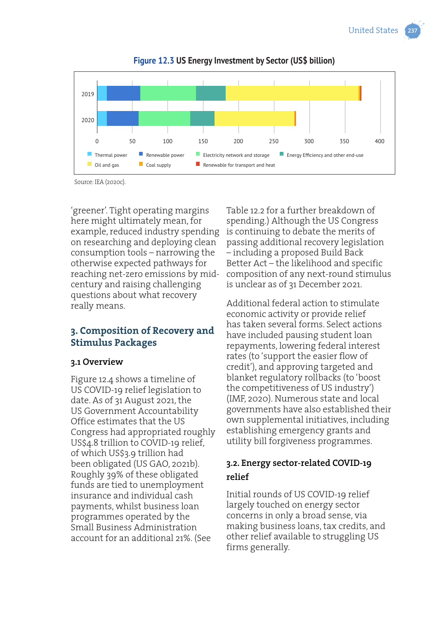

**Figure 12.3 US Energy Investment by Sector (US\$ billion)**

Source: IEA (2020c).

'greener'. Tight operating margins here might ultimately mean, for example, reduced industry spending on researching and deploying clean consumption tools – narrowing the otherwise expected pathways for reaching net-zero emissions by midcentury and raising challenging questions about what recovery really means.

## **3. Composition of Recovery and Stimulus Packages**

#### **3.1 Overview**

Figure 12.4 shows a timeline of US COVID-19 relief legislation to date. As of 31 August 2021, the US Government Accountability Office estimates that the US Congress had appropriated roughly US\$4.8 trillion to COVID-19 relief, of which US\$3.9 trillion had been obligated (US GAO, 2021b). Roughly 39% of these obligated funds are tied to unemployment insurance and individual cash payments, whilst business loan programmes operated by the Small Business Administration account for an additional 21%. (See

Table 12.2 for a further breakdown of spending.) Although the US Congress is continuing to debate the merits of passing additional recovery legislation – including a proposed Build Back Better Act – the likelihood and specific composition of any next-round stimulus is unclear as of 31 December 2021.

Additional federal action to stimulate economic activity or provide relief has taken several forms. Select actions have included pausing student loan repayments, lowering federal interest rates (to 'support the easier flow of credit'), and approving targeted and blanket regulatory rollbacks (to 'boost the competitiveness of US industry') (IMF, 2020). Numerous state and local governments have also established their own supplemental initiatives, including establishing emergency grants and utility bill forgiveness programmes.

### **3.2. Energy sector-related COVID-19 relief**

Initial rounds of US COVID-19 relief largely touched on energy sector concerns in only a broad sense, via making business loans, tax credits, and other relief available to struggling US firms generally.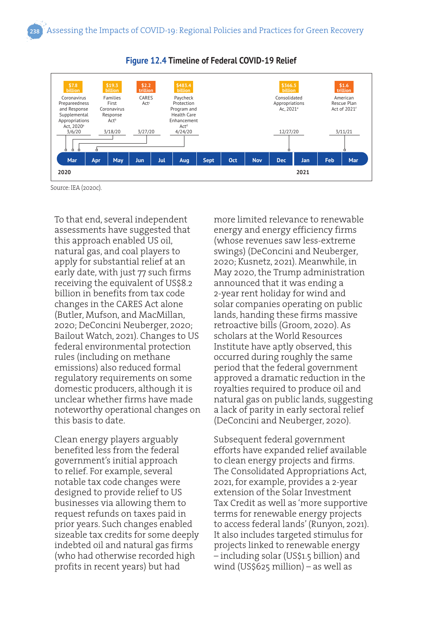

#### **Figure 12.4 Timeline of Federal COVID-19 Relief**

Source: IEA (2020c).

To that end, several independent assessments have suggested that this approach enabled US oil, natural gas, and coal players to apply for substantial relief at an early date, with just 77 such firms receiving the equivalent of US\$8.2 billion in benefits from tax code changes in the CARES Act alone (Butler, Mufson, and MacMillan, 2020; DeConcini Neuberger, 2020; Bailout Watch, 2021). Changes to US federal environmental protection rules (including on methane emissions) also reduced formal regulatory requirements on some domestic producers, although it is unclear whether firms have made noteworthy operational changes on this basis to date.

Clean energy players arguably benefited less from the federal government's initial approach to relief. For example, several notable tax code changes were designed to provide relief to US businesses via allowing them to request refunds on taxes paid in prior years. Such changes enabled sizeable tax credits for some deeply indebted oil and natural gas firms (who had otherwise recorded high profits in recent years) but had

more limited relevance to renewable energy and energy efficiency firms (whose revenues saw less-extreme swings) (DeConcini and Neuberger, 2020; Kusnetz, 2021). Meanwhile, in May 2020, the Trump administration announced that it was ending a 2-year rent holiday for wind and solar companies operating on public lands, handing these firms massive retroactive bills (Groom, 2020). As scholars at the World Resources Institute have aptly observed, this occurred during roughly the same period that the federal government approved a dramatic reduction in the royalties required to produce oil and natural gas on public lands, suggesting a lack of parity in early sectoral relief (DeConcini and Neuberger, 2020).

Subsequent federal government efforts have expanded relief available to clean energy projects and firms. The Consolidated Appropriations Act, 2021, for example, provides a 2-year extension of the Solar Investment Tax Credit as well as 'more supportive terms for renewable energy projects to access federal lands' (Runyon, 2021). It also includes targeted stimulus for projects linked to renewable energy – including solar (US\$1.5 billion) and wind (US\$625 million) – as well as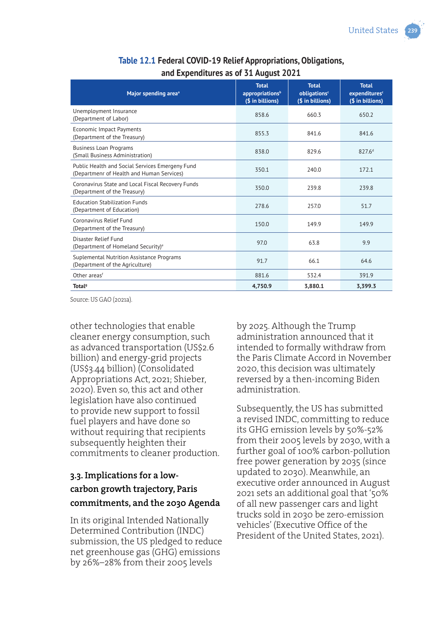| Major spending area <sup>a</sup>                                                             | <b>Total</b><br>appropriations <sup>b</sup><br>(\$ in billions) | <b>Total</b><br>obligations <sup>c</sup><br>(\$ in billions) | <b>Total</b><br>expenditures <sup>c</sup><br>(\$ in billions) |
|----------------------------------------------------------------------------------------------|-----------------------------------------------------------------|--------------------------------------------------------------|---------------------------------------------------------------|
| Unemployment Insurance<br>(Department of Labor)                                              | 858.6                                                           | 660.3                                                        | 650.2                                                         |
| <b>Economic Impact Payments</b><br>(Department of the Treasury)                              | 855.3                                                           | 841.6                                                        | 841.6                                                         |
| <b>Business Loan Programs</b><br>(Small Business Administration)                             | 838.0                                                           | 829.6                                                        | 827.6 <sup>d</sup>                                            |
| Public Health and Social Services Emergeny Fund<br>(Departmenr of Health and Human Services) | 350.1                                                           | 240.0                                                        | 172.1                                                         |
| Coronavirus State and Local Fiscal Recovery Funds<br>(Department of the Treasury)            | 350.0                                                           | 239.8                                                        | 239.8                                                         |
| <b>Education Stabilization Funds</b><br>(Department of Education)                            | 278.6                                                           | 257.0                                                        | 51.7                                                          |
| Coronavirus Relief Fund<br>(Department of the Treasury)                                      | 150.0                                                           | 149.9                                                        | 149.9                                                         |
| Disaster Relief Fund<br>(Department of Homeland Security) <sup>e</sup>                       | 97.0                                                            | 63.8                                                         | 9.9                                                           |
| Suplemental Nutrition Assistance Programs<br>(Department of the Agriculture)                 | 91.7                                                            | 66.1                                                         | 64.6                                                          |
| Other areas <sup>f</sup>                                                                     | 881.6                                                           | 532.4                                                        | 391.9                                                         |
| Total <sup>9</sup>                                                                           | 4,750.9                                                         | 3,880.1                                                      | 3,399.3                                                       |

### **Table 12.1 Federal COVID-19 Relief Appropriations, Obligations, and Expenditures as of 31 August 2021**

Source: US GAO (2021a).

other technologies that enable cleaner energy consumption, such as advanced transportation (US\$2.6 billion) and energy-grid projects (US\$3.44 billion) (Consolidated Appropriations Act, 2021; Shieber, 2020). Even so, this act and other legislation have also continued to provide new support to fossil fuel players and have done so without requiring that recipients subsequently heighten their commitments to cleaner production.

# **3.3. Implications for a lowcarbon growth trajectory, Paris commitments, and the 2030 Agenda**

In its original Intended Nationally Determined Contribution (INDC) submission, the US pledged to reduce net greenhouse gas (GHG) emissions by 26%–28% from their 2005 levels

by 2025. Although the Trump administration announced that it intended to formally withdraw from the Paris Climate Accord in November 2020, this decision was ultimately reversed by a then-incoming Biden administration.

Subsequently, the US has submitted a revised INDC, committing to reduce its GHG emission levels by 50%-52% from their 2005 levels by 2030, with a further goal of 100% carbon-pollution free power generation by 2035 (since updated to 2030). Meanwhile, an executive order announced in August 2021 sets an additional goal that '50% of all new passenger cars and light trucks sold in 2030 be zero-emission vehicles' (Executive Office of the President of the United States, 2021).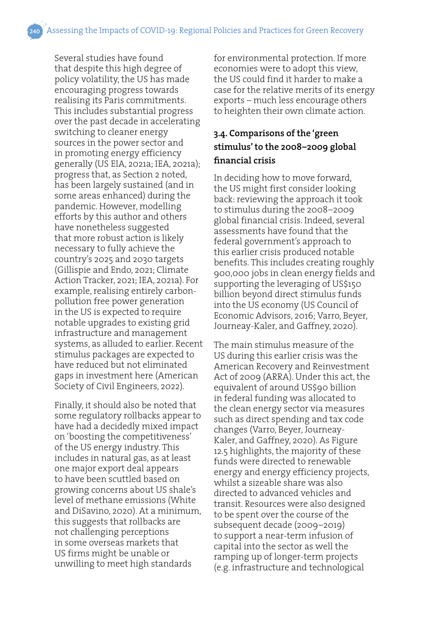Several studies have found that despite this high degree of policy volatility, the US has made encouraging progress towards realising its Paris commitments. This includes substantial progress over the past decade in accelerating switching to cleaner energy sources in the power sector and in promoting energy efficiency generally (US EIA, 2021a; IEA, 2021a); progress that, as Section 2 noted, has been largely sustained (and in some areas enhanced) during the pandemic. However, modelling efforts by this author and others have nonetheless suggested that more robust action is likely necessary to fully achieve the country's 2025 and 2030 targets (Gillispie and Endo, 2021; Climate Action Tracker, 2021; IEA, 2021a). For example, realising entirely carbonpollution free power generation in the US is expected to require notable upgrades to existing grid infrastructure and management systems, as alluded to earlier. Recent stimulus packages are expected to have reduced but not eliminated gaps in investment here (American Society of Civil Engineers, 2022).

Finally, it should also be noted that some regulatory rollbacks appear to have had a decidedly mixed impact on 'boosting the competitiveness' of the US energy industry. This includes in natural gas, as at least one major export deal appears to have been scuttled based on growing concerns about US shale's level of methane emissions (White and DiSavino, 2020). At a minimum, this suggests that rollbacks are not challenging perceptions in some overseas markets that US firms might be unable or unwilling to meet high standards

for environmental protection. If more economies were to adopt this view, the US could find it harder to make a case for the relative merits of its energy exports – much less encourage others to heighten their own climate action.

# **3.4. Comparisons of the 'green stimulus' to the 2008–2009 global financial crisis**

In deciding how to move forward, the US might first consider looking back: reviewing the approach it took to stimulus during the 2008–2009 global financial crisis. Indeed, several assessments have found that the federal government's approach to this earlier crisis produced notable benefits. This includes creating roughly 900,000 jobs in clean energy fields and supporting the leveraging of US\$150 billion beyond direct stimulus funds into the US economy (US Council of Economic Advisors, 2016; Varro, Beyer, Journeay-Kaler, and Gaffney, 2020).

The main stimulus measure of the US during this earlier crisis was the American Recovery and Reinvestment Act of 2009 (ARRA). Under this act, the equivalent of around US\$90 billion in federal funding was allocated to the clean energy sector via measures such as direct spending and tax code changes (Varro, Beyer, Journeay-Kaler, and Gaffney, 2020). As Figure 12.5 highlights, the majority of these funds were directed to renewable energy and energy efficiency projects, whilst a sizeable share was also directed to advanced vehicles and transit. Resources were also designed to be spent over the course of the subsequent decade (2009–2019) to support a near-term infusion of capital into the sector as well the ramping up of longer-term projects (e.g. infrastructure and technological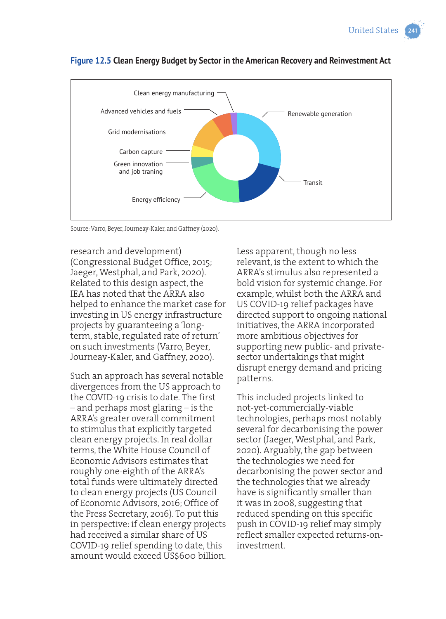

#### **Figure 12.5 Clean Energy Budget by Sector in the American Recovery and Reinvestment Act**

Source: Varro, Beyer, Journeay-Kaler, and Gaffney (2020).

research and development) (Congressional Budget Office, 2015; Jaeger, Westphal, and Park, 2020). Related to this design aspect, the IEA has noted that the ARRA also helped to enhance the market case for investing in US energy infrastructure projects by guaranteeing a 'longterm, stable, regulated rate of return' on such investments (Varro, Beyer, Journeay-Kaler, and Gaffney, 2020).

Such an approach has several notable divergences from the US approach to the COVID-19 crisis to date. The first – and perhaps most glaring – is the ARRA's greater overall commitment to stimulus that explicitly targeted clean energy projects. In real dollar terms, the White House Council of Economic Advisors estimates that roughly one-eighth of the ARRA's total funds were ultimately directed to clean energy projects (US Council of Economic Advisors, 2016; Office of the Press Secretary, 2016). To put this in perspective: if clean energy projects had received a similar share of US COVID-19 relief spending to date, this amount would exceed US\$600 billion. Less apparent, though no less relevant, is the extent to which the ARRA's stimulus also represented a bold vision for systemic change. For example, whilst both the ARRA and US COVID-19 relief packages have directed support to ongoing national initiatives, the ARRA incorporated more ambitious objectives for supporting new public- and privatesector undertakings that might disrupt energy demand and pricing patterns.

This included projects linked to not-yet-commercially-viable technologies, perhaps most notably several for decarbonising the power sector (Jaeger, Westphal, and Park, 2020). Arguably, the gap between the technologies we need for decarbonising the power sector and the technologies that we already have is significantly smaller than it was in 2008, suggesting that reduced spending on this specific push in COVID-19 relief may simply reflect smaller expected returns-oninvestment.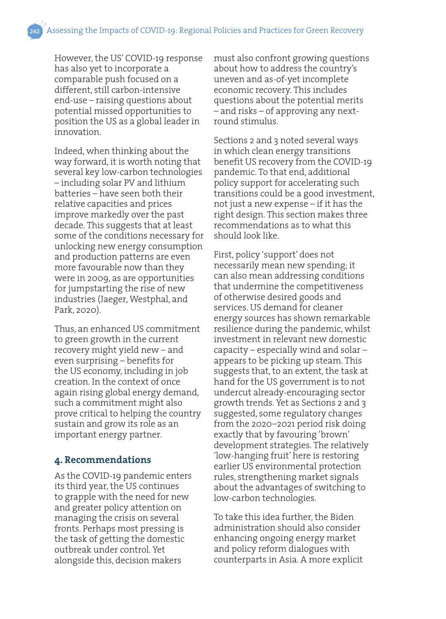However, the US' COVID-19 response has also yet to incorporate a comparable push focused on a different, still carbon-intensive end-use – raising questions about potential missed opportunities to position the US as a global leader in innovation.

Indeed, when thinking about the way forward, it is worth noting that several key low-carbon technologies – including solar PV and lithium batteries – have seen both their relative capacities and prices improve markedly over the past decade. This suggests that at least some of the conditions necessary for unlocking new energy consumption and production patterns are even more favourable now than they were in 2009, as are opportunities for jumpstarting the rise of new industries (Jaeger, Westphal, and Park, 2020).

Thus, an enhanced US commitment to green growth in the current recovery might yield new – and even surprising – benefits for the US economy, including in job creation. In the context of once again rising global energy demand, such a commitment might also prove critical to helping the country sustain and grow its role as an important energy partner.

#### **4. Recommendations**

As the COVID-19 pandemic enters its third year, the US continues to grapple with the need for new and greater policy attention on managing the crisis on several fronts. Perhaps most pressing is the task of getting the domestic outbreak under control. Yet alongside this, decision makers

must also confront growing questions about how to address the country's uneven and as-of-yet incomplete economic recovery. This includes questions about the potential merits – and risks – of approving any nextround stimulus.

Sections 2 and 3 noted several ways in which clean energy transitions benefit US recovery from the COVID-19 pandemic. To that end, additional policy support for accelerating such transitions could be a good investment, not just a new expense – if it has the right design. This section makes three recommendations as to what this should look like.

First, policy 'support' does not necessarily mean new spending; it can also mean addressing conditions that undermine the competitiveness of otherwise desired goods and services. US demand for cleaner energy sources has shown remarkable resilience during the pandemic, whilst investment in relevant new domestic capacity – especially wind and solar – appears to be picking up steam. This suggests that, to an extent, the task at hand for the US government is to not undercut already-encouraging sector growth trends. Yet as Sections 2 and 3 suggested, some regulatory changes from the 2020–2021 period risk doing exactly that by favouring 'brown' development strategies. The relatively 'low-hanging fruit' here is restoring earlier US environmental protection rules, strengthening market signals about the advantages of switching to low-carbon technologies.

To take this idea further, the Biden administration should also consider enhancing ongoing energy market and policy reform dialogues with counterparts in Asia. A more explicit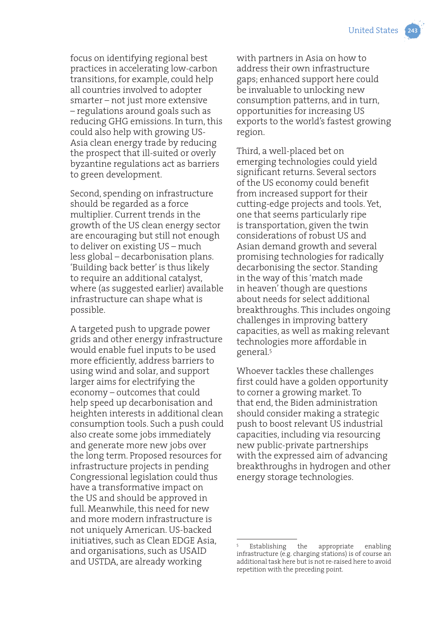focus on identifying regional best practices in accelerating low-carbon transitions, for example, could help all countries involved to adopter smarter – not just more extensive – regulations around goals such as reducing GHG emissions. In turn, this could also help with growing US-Asia clean energy trade by reducing the prospect that ill-suited or overly byzantine regulations act as barriers to green development.

Second, spending on infrastructure should be regarded as a force multiplier. Current trends in the growth of the US clean energy sector are encouraging but still not enough to deliver on existing US – much less global – decarbonisation plans. 'Building back better' is thus likely to require an additional catalyst, where (as suggested earlier) available infrastructure can shape what is possible.

A targeted push to upgrade power grids and other energy infrastructure would enable fuel inputs to be used more efficiently, address barriers to using wind and solar, and support larger aims for electrifying the economy – outcomes that could help speed up decarbonisation and heighten interests in additional clean consumption tools. Such a push could also create some jobs immediately and generate more new jobs over the long term. Proposed resources for infrastructure projects in pending Congressional legislation could thus have a transformative impact on the US and should be approved in full. Meanwhile, this need for new and more modern infrastructure is not uniquely American. US-backed initiatives, such as Clean EDGE Asia, and organisations, such as USAID and USTDA, are already working

with partners in Asia on how to address their own infrastructure gaps; enhanced support here could be invaluable to unlocking new consumption patterns, and in turn, opportunities for increasing US exports to the world's fastest growing region.

Third, a well-placed bet on emerging technologies could yield significant returns. Several sectors of the US economy could benefit from increased support for their cutting-edge projects and tools. Yet, one that seems particularly ripe is transportation, given the twin considerations of robust US and Asian demand growth and several promising technologies for radically decarbonising the sector. Standing in the way of this 'match made in heaven' though are questions about needs for select additional breakthroughs. This includes ongoing challenges in improving battery capacities, as well as making relevant technologies more affordable in general.5

Whoever tackles these challenges first could have a golden opportunity to corner a growing market. To that end, the Biden administration should consider making a strategic push to boost relevant US industrial capacities, including via resourcing new public-private partnerships with the expressed aim of advancing breakthroughs in hydrogen and other energy storage technologies.

<sup>5</sup> Establishing the appropriate enabling infrastructure (e.g. charging stations) is of course an additional task here but is not re-raised here to avoid repetition with the preceding point.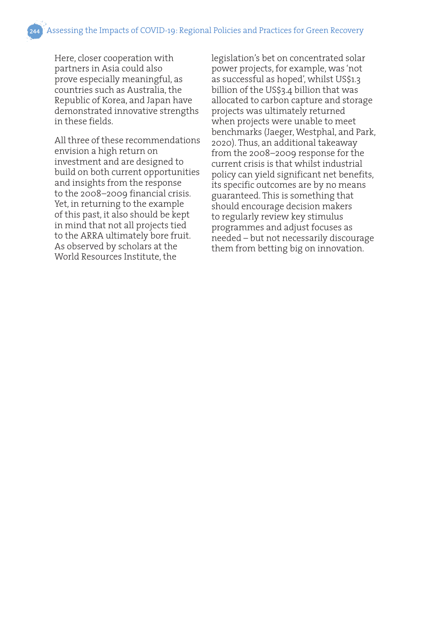Here, closer cooperation with partners in Asia could also prove especially meaningful, as countries such as Australia, the Republic of Korea, and Japan have demonstrated innovative strengths in these fields.

All three of these recommendations envision a high return on investment and are designed to build on both current opportunities and insights from the response to the 2008–2009 financial crisis. Yet, in returning to the example of this past, it also should be kept in mind that not all projects tied to the ARRA ultimately bore fruit. As observed by scholars at the World Resources Institute, the

legislation's bet on concentrated solar power projects, for example, was 'not as successful as hoped', whilst US\$1.3 billion of the US\$3.4 billion that was allocated to carbon capture and storage projects was ultimately returned when projects were unable to meet benchmarks (Jaeger, Westphal, and Park, 2020). Thus, an additional takeaway from the 2008–2009 response for the current crisis is that whilst industrial policy can yield significant net benefits, its specific outcomes are by no means guaranteed. This is something that should encourage decision makers to regularly review key stimulus programmes and adjust focuses as needed – but not necessarily discourage them from betting big on innovation.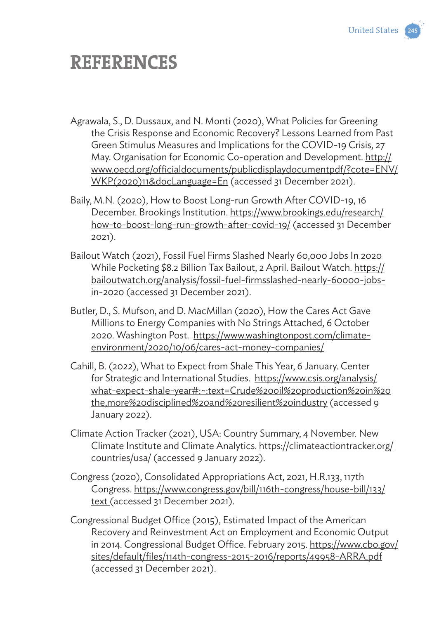

# **REFERENCES**

- Agrawala, S., D. Dussaux, and N. Monti (2020), What Policies for Greening the Crisis Response and Economic Recovery? Lessons Learned from Past Green Stimulus Measures and Implications for the COVID-19 Crisis, 27 May. Organisation for Economic Co-operation and Development. http:// www.oecd.org/officialdocuments/publicdisplaydocumentpdf/?cote=ENV/ WKP(2020)11&docLanguage=En (accessed 31 December 2021).
- Baily, M.N. (2020), How to Boost Long-run Growth After COVID-19, 16 December. Brookings Institution. https://www.brookings.edu/research/ how-to-boost-long-run-growth-after-covid-19/ (accessed 31 December 2021).
- Bailout Watch (2021), Fossil Fuel Firms Slashed Nearly 60,000 Jobs In 2020 While Pocketing \$8.2 Billion Tax Bailout, 2 April. Bailout Watch. https:// bailoutwatch.org/analysis/fossil-fuel-firmsslashed-nearly-60000-jobsin-2020 (accessed 31 December 2021).
- Butler, D., S. Mufson, and D. MacMillan (2020), How the Cares Act Gave Millions to Energy Companies with No Strings Attached, 6 October 2020. Washington Post. https://www.washingtonpost.com/climateenvironment/2020/10/06/cares-act-money-companies/
- Cahill, B. (2022), What to Expect from Shale This Year, 6 January. Center for Strategic and International Studies. https://www.csis.org/analysis/ what-expect-shale-year#:~:text=Crude%20oil%20production%20in%20 the,more%20disciplined%20and%20resilient%20industry (accessed 9 January 2022).
- Climate Action Tracker (2021), USA: Country Summary, 4 November. New Climate Institute and Climate Analytics. https://climateactiontracker.org/ countries/usa/ (accessed 9 January 2022).
- Congress (2020), Consolidated Appropriations Act, 2021, H.R.133, 117th Congress. https://www.congress.gov/bill/116th-congress/house-bill/133/ text (accessed 31 December 2021).
- Congressional Budget Office (2015), Estimated Impact of the American Recovery and Reinvestment Act on Employment and Economic Output in 2014. Congressional Budget Office. February 2015. https://www.cbo.gov/ sites/default/files/114th-congress-2015-2016/reports/49958-ARRA.pdf (accessed 31 December 2021).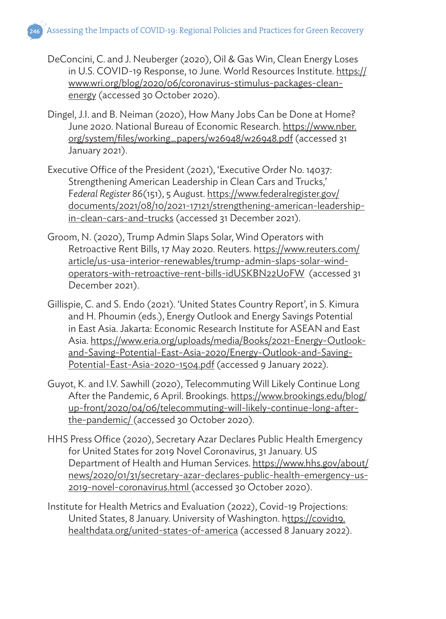- DeConcini, C. and J. Neuberger (2020), Oil & Gas Win, Clean Energy Loses in U.S. COVID-19 Response, 10 June. World Resources Institute. https:// www.wri.org/blog/2020/06/coronavirus-stimulus-packages-cleanenergy (accessed 30 October 2020).
- Dingel, J.I. and B. Neiman (2020), How Many Jobs Can be Done at Home? June 2020. National Bureau of Economic Research. https://www.nber. org/system/files/working\_papers/w26948/w26948.pdf (accessed 31 January 2021).
- Executive Office of the President (2021), 'Executive Order No. 14037: Strengthening American Leadership in Clean Cars and Trucks,' F*ederal Register* 86(151), 5 August. https://www.federalregister.gov/ documents/2021/08/10/2021-17121/strengthening-american-leadershipin-clean-cars-and-trucks (accessed 31 December 2021).
- Groom, N. (2020), Trump Admin Slaps Solar, Wind Operators with Retroactive Rent Bills, 17 May 2020. Reuters. https://www.reuters.com/ article/us-usa-interior-renewables/trump-admin-slaps-solar-windoperators-with-retroactive-rent-bills-idUSKBN22U0FW (accessed 31 December 2021).
- Gillispie, C. and S. Endo (2021). 'United States Country Report', in S. Kimura and H. Phoumin (eds.), Energy Outlook and Energy Savings Potential in East Asia. Jakarta: Economic Research Institute for ASEAN and East Asia. https://www.eria.org/uploads/media/Books/2021-Energy-Outlookand-Saving-Potential-East-Asia-2020/Energy-Outlook-and-Saving-Potential-East-Asia-2020-1504.pdf (accessed 9 January 2022).
- Guyot, K. and I.V. Sawhill (2020), Telecommuting Will Likely Continue Long After the Pandemic, 6 April. Brookings. https://www.brookings.edu/blog/ up-front/2020/04/06/telecommuting-will-likely-continue-long-afterthe-pandemic/ (accessed 30 October 2020).
- HHS Press Office (2020), Secretary Azar Declares Public Health Emergency for United States for 2019 Novel Coronavirus, 31 January. US Department of Health and Human Services. https://www.hhs.gov/about/ news/2020/01/31/secretary-azar-declares-public-health-emergency-us-2019-novel-coronavirus.html (accessed 30 October 2020).
- Institute for Health Metrics and Evaluation (2022), Covid-19 Projections: United States, 8 January. University of Washington. https://covid19. healthdata.org/united-states-of-america (accessed 8 January 2022).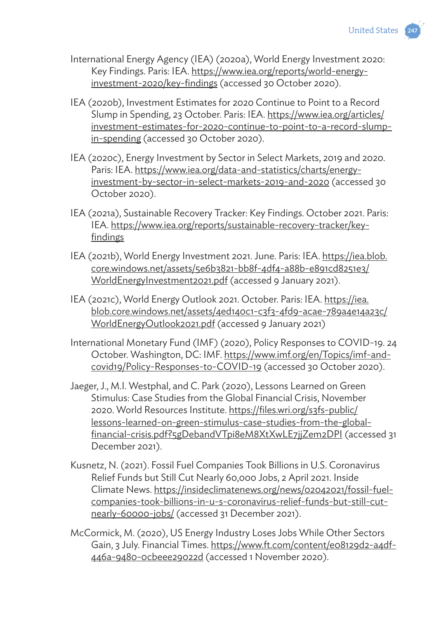

- International Energy Agency (IEA) (2020a), World Energy Investment 2020: Key Findings. Paris: IEA. https://www.iea.org/reports/world-energyinvestment-2020/key-findings (accessed 30 October 2020).
- IEA (2020b), Investment Estimates for 2020 Continue to Point to a Record Slump in Spending, 23 October. Paris: IEA. https://www.iea.org/articles/ investment-estimates-for-2020-continue-to-point-to-a-record-slumpin-spending (accessed 30 October 2020).
- IEA (2020c), Energy Investment by Sector in Select Markets, 2019 and 2020. Paris: IEA. https://www.iea.org/data-and-statistics/charts/energyinvestment-by-sector-in-select-markets-2019-and-2020 (accessed 30 October 2020).
- IEA (2021a), Sustainable Recovery Tracker: Key Findings. October 2021. Paris: IEA. https://www.iea.org/reports/sustainable-recovery-tracker/keyfindings
- IEA (2021b), World Energy Investment 2021. June. Paris: IEA. https://iea.blob. core.windows.net/assets/5e6b3821-bb8f-4df4-a88b-e891cd8251e3/ WorldEnergyInvestment2021.pdf (accessed 9 January 2021).
- IEA (2021c), World Energy Outlook 2021. October. Paris: IEA. https://iea. blob.core.windows.net/assets/4ed140c1-c3f3-4fd9-acae-789a4e14a23c/ WorldEnergyOutlook2021.pdf (accessed 9 January 2021)
- International Monetary Fund (IMF) (2020), Policy Responses to COVID-19. 24 October. Washington, DC: IMF. https://www.imf.org/en/Topics/imf-andcovid19/Policy-Responses-to-COVID-19 (accessed 30 October 2020).
- Jaeger, J., M.I. Westphal, and C. Park (2020), Lessons Learned on Green Stimulus: Case Studies from the Global Financial Crisis, November 2020. World Resources Institute. https://files.wri.org/s3fs-public/ lessons-learned-on-green-stimulus-case-studies-from-the-globalfinancial-crisis.pdf?5gDebandVTpi8eM8XtXwLE7jjZem2DPI (accessed 31 December 2021).
- Kusnetz, N. (2021). Fossil Fuel Companies Took Billions in U.S. Coronavirus Relief Funds but Still Cut Nearly 60,000 Jobs, 2 April 2021. Inside Climate News. https://insideclimatenews.org/news/02042021/fossil-fuelcompanies-took-billions-in-u-s-coronavirus-relief-funds-but-still-cutnearly-60000-jobs/ (accessed 31 December 2021).
- McCormick, M. (2020), US Energy Industry Loses Jobs While Other Sectors Gain, 3 July. Financial Times. https://www.ft.com/content/e08129d2-a4df-446a-9480-0cbeee29022d (accessed 1 November 2020).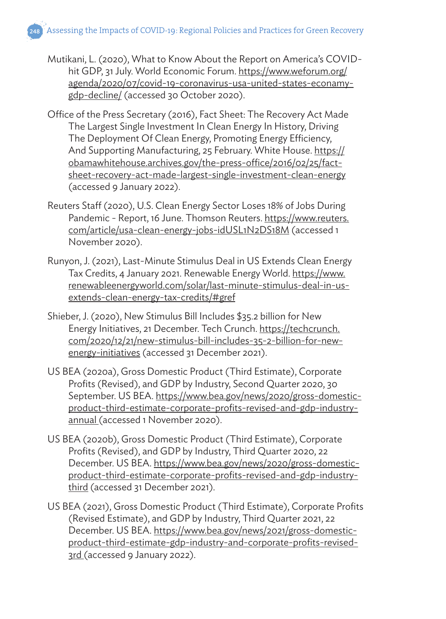Mutikani, L. (2020), What to Know About the Report on America's COVIDhit GDP, 31 July. World Economic Forum. https://www.weforum.org/ agenda/2020/07/covid-19-coronavirus-usa-united-states-econamygdp-decline/ (accessed 30 October 2020).

- Office of the Press Secretary (2016), Fact Sheet: The Recovery Act Made The Largest Single Investment In Clean Energy In History, Driving The Deployment Of Clean Energy, Promoting Energy Efficiency, And Supporting Manufacturing, 25 February. White House. https:// obamawhitehouse.archives.gov/the-press-office/2016/02/25/factsheet-recovery-act-made-largest-single-investment-clean-energy (accessed 9 January 2022).
- Reuters Staff (2020), U.S. Clean Energy Sector Loses 18% of Jobs During Pandemic - Report, 16 June. Thomson Reuters. https://www.reuters. com/article/usa-clean-energy-jobs-idUSL1N2DS18M (accessed 1 November 2020).
- Runyon, J. (2021), Last-Minute Stimulus Deal in US Extends Clean Energy Tax Credits, 4 January 2021. Renewable Energy World. https://www. renewableenergyworld.com/solar/last-minute-stimulus-deal-in-usextends-clean-energy-tax-credits/#gref
- Shieber, J. (2020), New Stimulus Bill Includes \$35.2 billion for New Energy Initiatives, 21 December. Tech Crunch. https://techcrunch. com/2020/12/21/new-stimulus-bill-includes-35-2-billion-for-newenergy-initiatives (accessed 31 December 2021).
- US BEA (2020a), Gross Domestic Product (Third Estimate), Corporate Profits (Revised), and GDP by Industry, Second Quarter 2020, 30 September. US BEA. https://www.bea.gov/news/2020/gross-domesticproduct-third-estimate-corporate-profits-revised-and-gdp-industryannual (accessed 1 November 2020).
- US BEA (2020b), Gross Domestic Product (Third Estimate), Corporate Profits (Revised), and GDP by Industry, Third Quarter 2020, 22 December. US BEA. https://www.bea.gov/news/2020/gross-domesticproduct-third-estimate-corporate-profits-revised-and-gdp-industrythird (accessed 31 December 2021).
- US BEA (2021), Gross Domestic Product (Third Estimate), Corporate Profits (Revised Estimate), and GDP by Industry, Third Quarter 2021, 22 December. US BEA. https://www.bea.gov/news/2021/gross-domesticproduct-third-estimate-gdp-industry-and-corporate-profits-revised-3rd (accessed 9 January 2022).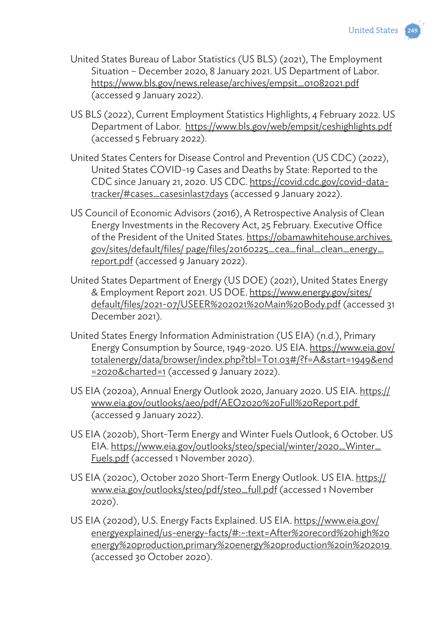

- United States Bureau of Labor Statistics (US BLS) (2021), The Employment Situation – December 2020, 8 January 2021. US Department of Labor. https://www.bls.gov/news.release/archives/empsit\_01082021.pdf (accessed 9 January 2022).
- US BLS (2022), Current Employment Statistics Highlights, 4 February 2022. US Department of Labor. https://www.bls.gov/web/empsit/ceshighlights.pdf (accessed 5 February 2022).
- United States Centers for Disease Control and Prevention (US CDC) (2022), United States COVID-19 Cases and Deaths by State: Reported to the CDC since January 21, 2020. US CDC. https://covid.cdc.gov/covid-datatracker/#cases\_casesinlast7days (accessed 9 January 2022).
- US Council of Economic Advisors (2016), A Retrospective Analysis of Clean Energy Investments in the Recovery Act, 25 February. Executive Office of the President of the United States. https://obamawhitehouse.archives. gov/sites/default/files/ page/files/20160225\_cea\_final\_clean\_energy\_ report.pdf (accessed 9 January 2022).
- United States Department of Energy (US DOE) (2021), United States Energy & Employment Report 2021. US DOE. https://www.energy.gov/sites/ default/files/2021-07/USEER%202021%20Main%20Body.pdf (accessed 31 December 2021).
- United States Energy Information Administration (US EIA) (n.d.), Primary Energy Consumption by Source, 1949-2020. US EIA. https://www.eia.gov/ totalenergy/data/browser/index.php?tbl=T01.03#/?f=A&start=1949&end =2020&charted=1 (accessed 9 January 2022).
- US EIA (2020a), Annual Energy Outlook 2020, January 2020. US EIA. https:// www.eia.gov/outlooks/aeo/pdf/AEO2020%20Full%20Report.pdf (accessed 9 January 2022).
- US EIA (2020b), Short-Term Energy and Winter Fuels Outlook, 6 October. US EIA. https://www.eia.gov/outlooks/steo/special/winter/2020\_Winter\_ Fuels.pdf (accessed 1 November 2020).
- US EIA (2020c), October 2020 Short-Term Energy Outlook. US EIA. https:// www.eia.gov/outlooks/steo/pdf/steo\_full.pdf (accessed 1 November 2020).
- US EIA (2020d), U.S. Energy Facts Explained. US EIA. https://www.eia.gov/ energyexplained/us-energy-facts/#:~:text=After%20record%20high%20 energy%20production,primary%20energy%20production%20in%202019 (accessed 30 October 2020).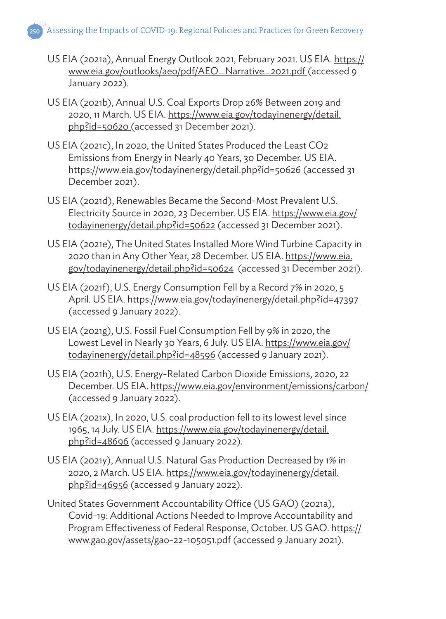Assessing the Impacts of COVID-19: Regional Policies and Practices for Green Recovery

- US EIA (2021a), Annual Energy Outlook 2021, February 2021. US EIA. https:// www.eia.gov/outlooks/aeo/pdf/AEO\_Narrative\_2021.pdf (accessed 9 January 2022).
- US EIA (2021b), Annual U.S. Coal Exports Drop 26% Between 2019 and 2020, 11 March. US EIA. https://www.eia.gov/todayinenergy/detail. php?id=50620 (accessed 31 December 2021).
- US EIA (2021c), In 2020, the United States Produced the Least CO2 Emissions from Energy in Nearly 40 Years, 30 December. US EIA. https://www.eia.gov/todayinenergy/detail.php?id=50626 (accessed 31 December 2021).
- US EIA (2021d), Renewables Became the Second-Most Prevalent U.S. Electricity Source in 2020, 23 December. US EIA. https://www.eia.gov/ todayinenergy/detail.php?id=50622 (accessed 31 December 2021).
- US EIA (2021e), The United States Installed More Wind Turbine Capacity in 2020 than in Any Other Year, 28 December. US EIA. https://www.eia. gov/todayinenergy/detail.php?id=50624 (accessed 31 December 2021).
- US EIA (2021f), U.S. Energy Consumption Fell by a Record 7% in 2020, 5 April. US EIA. https://www.eia.gov/todayinenergy/detail.php?id=47397 (accessed 9 January 2022).
- US EIA (2021g), U.S. Fossil Fuel Consumption Fell by 9% in 2020, the Lowest Level in Nearly 30 Years, 6 July. US EIA. https://www.eia.gov/ todayinenergy/detail.php?id=48596 (accessed 9 January 2021).
- US EIA (2021h), U.S. Energy-Related Carbon Dioxide Emissions, 2020, 22 December. US EIA. https://www.eia.gov/environment/emissions/carbon/ (accessed 9 January 2022).
- US EIA (2021x), In 2020, U.S. coal production fell to its lowest level since 1965, 14 July. US EIA. https://www.eia.gov/todayinenergy/detail. php?id=48696 (accessed 9 January 2022).
- US EIA (2021y), Annual U.S. Natural Gas Production Decreased by 1% in 2020, 2 March. US EIA. https://www.eia.gov/todayinenergy/detail. php?id=46956 (accessed 9 January 2022).
- United States Government Accountability Office (US GAO) (2021a), Covid-19: Additional Actions Needed to Improve Accountability and Program Effectiveness of Federal Response, October. US GAO. https:// www.gao.gov/assets/gao-22-105051.pdf (accessed 9 January 2021).